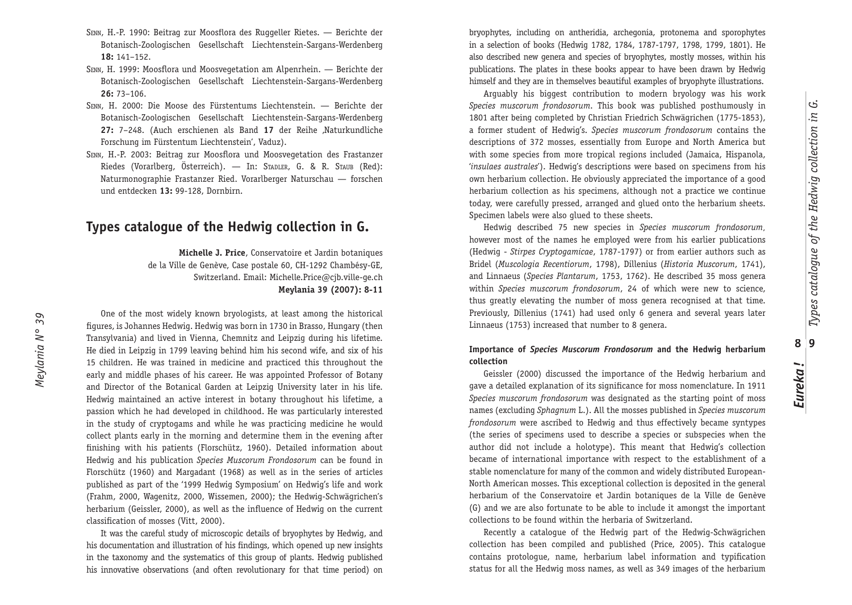- SENN, H.-P. 1990: Beitrag zur Moosflora des Ruggeller Rietes. Berichte der Botanisch-Zoologischen Gesellschaft Liechtenstein-Sargans-Werdenberg **18:** 141–152.
- SENN, H. 1999: Moosflora und Moosvegetation am Alpenrhein. Berichte der Botanisch-Zoologischen Gesellschaft Liechtenstein-Sargans-Werdenberg **26:** 73–106.
- SENN, H. 2000: Die Moose des Fürstentums Liechtenstein. Berichte der Botanisch-Zoologischen Gesellschaft Liechtenstein-Sargans-Werdenberg 27: 7-248. (Auch erschienen als Band 17 der Reihe ,Naturkundliche Forschung im Fürstentum Liechtenstein', Vaduz).
- SENN, H.-P. 2003: Beitrag zur Moosflora und Moosvegetation des Frastanzer Riedes (Vorarlberg, Österreich). — In: STADLER, G. & R. STAUB (Red): Naturmonographie Frastanzer Ried. Vorarlberger Naturschau — forschen und entdecken **13:** 99-128, Dornbirn.

## **Types catalogue of the Hedwig collection in G.**

**Michelle J. Price**, Conservatoire et Jardin botaniques de la Ville de Genève, Case postale 60, CH-1292 Chambésy-GE, Switzerland. Email: Michelle.Price@cjb.ville-ge.ch **Meylania 39 (2007): 8-11**

One of the most widely known bryologists, at least among the historical figures, is Johannes Hedwig. Hedwig was born in 1730 in Brasso, Hungary (then Transylvania) and lived in Vienna, Chemnitz and Leipzig during his lifetime. He died in Leipzig in 1799 leaving behind him his second wife, and six of his 15 children. He was trained in medicine and practiced this throughout the early and middle phases of his career. He was appointed Professor of Botany and Director of the Botanical Garden at Leipzig University later in his life. Hedwig maintained an active interest in botany throughout his lifetime, a passion which he had developed in childhood. He was particularly interested in the study of cryptogams and while he was practicing medicine he would collect plants early in the morning and determine them in the evening after finishing with his patients (Florschütz, 1960). Detailed information about Hedwig and his publication *Species Muscorum Frondosorum* can be found in Florschütz (1960) and Margadant (1968) as well as in the series of articles published as part of the '1999 Hedwig Symposium' on Hedwig's life and work (Frahm, 2000, Wagenitz, 2000, Wissemen, 2000); the Hedwig-Schwägrichen's herbarium (Geissler, 2000), as well as the influence of Hedwig on the current classification of mosses (Vitt, 2000).

It was the careful study of microscopic details of bryophytes by Hedwig, and his documentation and illustration of his findings, which opened up new insights in the taxonomy and the systematics of this group of plants. Hedwig published his innovative observations (and often revolutionary for that time period) on bryophytes, including on antheridia, archegonia, protonema and sporophytes in a selection of books (Hedwig 1782, 1784, 1787-1797, 1798, 1799, 1801). He also described new genera and species of bryophytes, mostly mosses, within his publications. The plates in these books appear to have been drawn by Hedwig himself and they are in themselves beautiful examples of bryophyte illustrations.

Arguably his biggest contribution to modern bryology was his work *Species muscorum frondosorum*. This book was published posthumously in 1801 after being completed by Christian Friedrich Schwägrichen (1775-1853), a former student of Hedwig's. *Species muscorum frondosorum* contains the descriptions of 372 mosses, essentially from Europe and North America but with some species from more tropical regions included (Jamaica, Hispanola, '*insulaes australes*'). Hedwig's descriptions were based on specimens from his own herbarium collection. He obviously appreciated the importance of a good herbarium collection as his specimens, although not a practice we continue today, were carefully pressed, arranged and glued onto the herbarium sheets. Specimen labels were also glued to these sheets.

Hedwig described 75 new species in *Species muscorum frondosorum*, however most of the names he employed were from his earlier publications (Hedwig - *Stirpes Cryptogamicae*, 1787-1797) or from earlier authors such as Bridel (*Muscologia Recentiorum*, 1798), Dillenius (*Historia Muscorum*, 1741), and Linnaeus (*Species Plantarum*, 1753, 1762). He described 35 moss genera within *Species muscorum frondosorum*, 24 of which were new to science, thus greatly elevating the number of moss genera recognised at that time. Previously, Dillenius (1741) had used only 6 genera and several years later Linnaeus (1753) increased that number to 8 genera.

## **Importance of** *Species Muscorum Frondosorum* **and the Hedwig herbarium collection**

Geissler (2000) discussed the importance of the Hedwig herbarium and gave a detailed explanation of its significance for moss nomenclature. In 1911 *Species muscorum frondosorum* was designated as the starting point of moss names (excluding *Sphagnum* L.). All the mosses published in *Species muscorum frondosorum* were ascribed to Hedwig and thus effectively became syntypes (the series of specimens used to describe a species or subspecies when the author did not include a holotype). This meant that Hedwig's collection became of international importance with respect to the establishment of a stable nomenclature for many of the common and widely distributed European-North American mosses. This exceptional collection is deposited in the general herbarium of the Conservatoire et Jardin botaniques de la Ville de Genève (G) and we are also fortunate to be able to include it amongst the important collections to be found within the herbaria of Switzerland.

Recently a catalogue of the Hedwig part of the Hedwig-Schwägrichen collection has been compiled and published (Price, 2005). This catalogue contains protologue, name, herbarium label information and typification status for all the Hedwig moss names, as well as 349 images of the herbarium